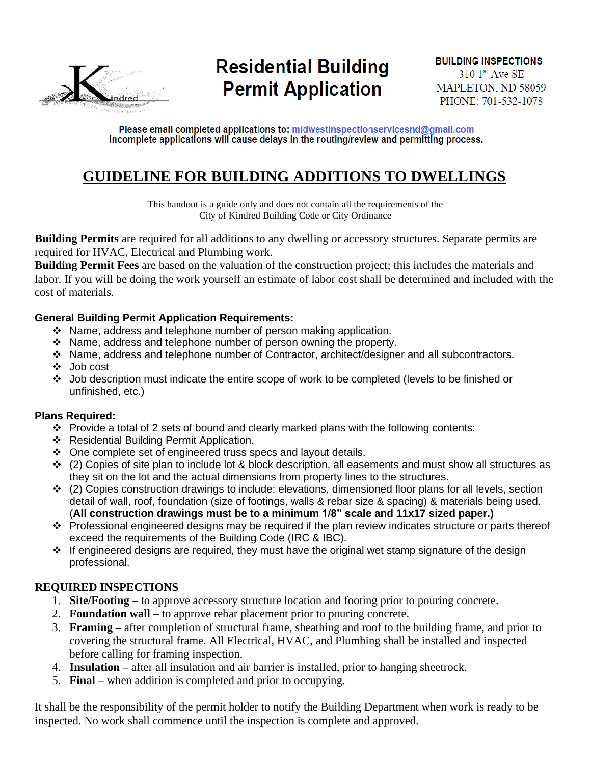

# **Residential Building Permit Application**

Please email completed applications to: midwestinspectionservicesnd@gmail.com Incomplete applications will cause delays in the routing/review and permitting process.

## **GUIDELINE FOR BUILDING ADDITIONS TO DWELLINGS**

This handout is a guide only and does not contain all the requirements of the City of Kindred Building Code or City Ordinance

**Building Permits** are required for all additions to any dwelling or accessory structures. Separate permits are required for HVAC, Electrical and Plumbing work.

**Building Permit Fees** are based on the valuation of the construction project; this includes the materials and labor. If you will be doing the work yourself an estimate of labor cost shall be determined and included with the cost of materials.

### **General Building Permit Application Requirements:**

- ❖ Name, address and telephone number of person making application.
- ❖ Name, address and telephone number of person owning the property.
- ❖ Name, address and telephone number of Contractor, architect/designer and all subcontractors.
- ❖ Job cost
- ❖ Job description must indicate the entire scope of work to be completed (levels to be finished or unfinished, etc.)

### **Plans Required:**

- ❖ Provide a total of 2 sets of bound and clearly marked plans with the following contents:
- ❖ Residential Building Permit Application.
- ❖ One complete set of engineered truss specs and layout details.
- ◆ (2) Copies of site plan to include lot & block description, all easements and must show all structures as they sit on the lot and the actual dimensions from property lines to the structures.
- ❖ (2) Copies construction drawings to include: elevations, dimensioned floor plans for all levels, section detail of wall, roof, foundation (size of footings, walls & rebar size & spacing) & materials being used. (**All construction drawings must be to a minimum 1/8" scale and 11x17 sized paper.)**
- ❖ Professional engineered designs may be required if the plan review indicates structure or parts thereof exceed the requirements of the Building Code (IRC & IBC).
- $\cdot \cdot$  If engineered designs are required, they must have the original wet stamp signature of the design professional.

### **REQUIRED INSPECTIONS**

- 1. **Site/Footing –** to approve accessory structure location and footing prior to pouring concrete.
- 2. **Foundation wall –** to approve rebar placement prior to pouring concrete.
- 3. **Framing –** after completion of structural frame, sheathing and roof to the building frame, and prior to covering the structural frame. All Electrical, HVAC, and Plumbing shall be installed and inspected before calling for framing inspection.
- 4. **Insulation –** after all insulation and air barrier is installed, prior to hanging sheetrock.
- 5. **Final –** when addition is completed and prior to occupying.

It shall be the responsibility of the permit holder to notify the Building Department when work is ready to be inspected. No work shall commence until the inspection is complete and approved.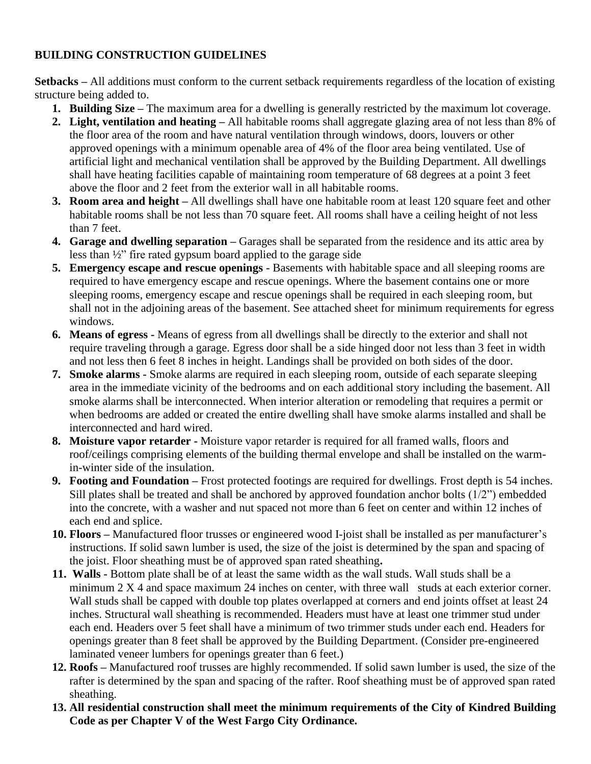### **BUILDING CONSTRUCTION GUIDELINES**

**Setbacks –** All additions must conform to the current setback requirements regardless of the location of existing structure being added to.

- **1. Building Size –** The maximum area for a dwelling is generally restricted by the maximum lot coverage.
- **2. Light, ventilation and heating –** All habitable rooms shall aggregate glazing area of not less than 8% of the floor area of the room and have natural ventilation through windows, doors, louvers or other approved openings with a minimum openable area of 4% of the floor area being ventilated. Use of artificial light and mechanical ventilation shall be approved by the Building Department. All dwellings shall have heating facilities capable of maintaining room temperature of 68 degrees at a point 3 feet above the floor and 2 feet from the exterior wall in all habitable rooms.
- **3. Room area and height –** All dwellings shall have one habitable room at least 120 square feet and other habitable rooms shall be not less than 70 square feet. All rooms shall have a ceiling height of not less than 7 feet.
- **4. Garage and dwelling separation –** Garages shall be separated from the residence and its attic area by less than ½" fire rated gypsum board applied to the garage side
- **5. Emergency escape and rescue openings -** Basements with habitable space and all sleeping rooms are required to have emergency escape and rescue openings. Where the basement contains one or more sleeping rooms, emergency escape and rescue openings shall be required in each sleeping room, but shall not in the adjoining areas of the basement. See attached sheet for minimum requirements for egress windows.
- **6. Means of egress -** Means of egress from all dwellings shall be directly to the exterior and shall not require traveling through a garage. Egress door shall be a side hinged door not less than 3 feet in width and not less then 6 feet 8 inches in height. Landings shall be provided on both sides of the door.
- **7. Smoke alarms -** Smoke alarms are required in each sleeping room, outside of each separate sleeping area in the immediate vicinity of the bedrooms and on each additional story including the basement. All smoke alarms shall be interconnected. When interior alteration or remodeling that requires a permit or when bedrooms are added or created the entire dwelling shall have smoke alarms installed and shall be interconnected and hard wired.
- **8. Moisture vapor retarder -** Moisture vapor retarder is required for all framed walls, floors and roof/ceilings comprising elements of the building thermal envelope and shall be installed on the warmin-winter side of the insulation.
- **9. Footing and Foundation –** Frost protected footings are required for dwellings. Frost depth is 54 inches. Sill plates shall be treated and shall be anchored by approved foundation anchor bolts (1/2") embedded into the concrete, with a washer and nut spaced not more than 6 feet on center and within 12 inches of each end and splice.
- **10. Floors –** Manufactured floor trusses or engineered wood I-joist shall be installed as per manufacturer's instructions. If solid sawn lumber is used, the size of the joist is determined by the span and spacing of the joist. Floor sheathing must be of approved span rated sheathing**.**
- **11. Walls -** Bottom plate shall be of at least the same width as the wall studs. Wall studs shall be a minimum 2 X 4 and space maximum 24 inches on center, with three wall studs at each exterior corner. Wall studs shall be capped with double top plates overlapped at corners and end joints offset at least 24 inches. Structural wall sheathing is recommended. Headers must have at least one trimmer stud under each end. Headers over 5 feet shall have a minimum of two trimmer studs under each end. Headers for openings greater than 8 feet shall be approved by the Building Department. (Consider pre-engineered laminated veneer lumbers for openings greater than 6 feet.)
- **12. Roofs –** Manufactured roof trusses are highly recommended. If solid sawn lumber is used, the size of the rafter is determined by the span and spacing of the rafter. Roof sheathing must be of approved span rated sheathing.
- **13. All residential construction shall meet the minimum requirements of the City of Kindred Building Code as per Chapter V of the West Fargo City Ordinance.**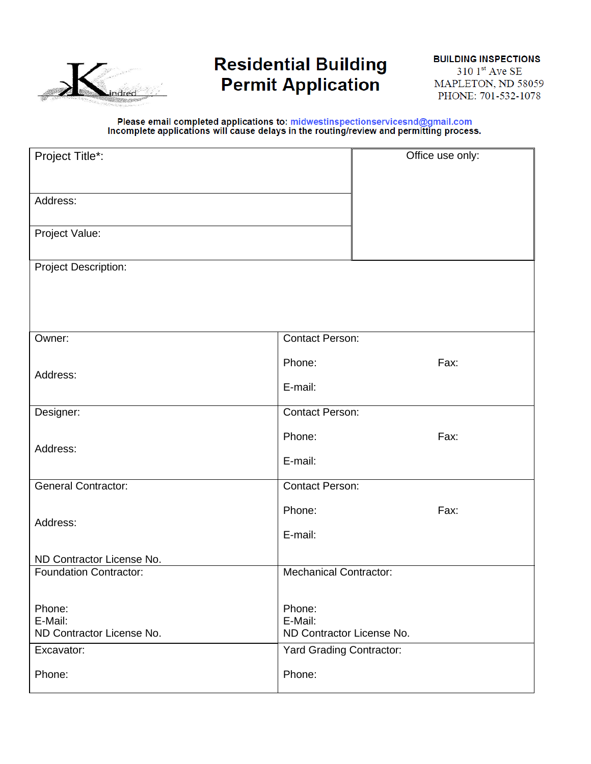

# **Residential Building Permit Application**

# Please email completed applications to: midwestinspectionservicesnd@gmail.com<br>Incomplete applications will cause delays in the routing/review and permitting process.

| Project Title*:                      | Office use only:                     |
|--------------------------------------|--------------------------------------|
|                                      |                                      |
| Address:                             |                                      |
| Project Value:                       |                                      |
| <b>Project Description:</b>          |                                      |
|                                      |                                      |
|                                      |                                      |
| Owner:                               | <b>Contact Person:</b>               |
|                                      | Phone:<br>Fax:                       |
| Address:                             | E-mail:                              |
| Designer:                            | <b>Contact Person:</b>               |
|                                      | Phone:<br>Fax:                       |
| Address:                             | E-mail:                              |
| General Contractor:                  | <b>Contact Person:</b>               |
|                                      | Phone:<br>Fax:                       |
| Address:                             | E-mail:                              |
| ND Contractor License No.            |                                      |
| <b>Foundation Contractor:</b>        | <b>Mechanical Contractor:</b>        |
| Phone:                               | Phone:                               |
| E-Mail:<br>ND Contractor License No. | E-Mail:<br>ND Contractor License No. |
| Excavator:                           | Yard Grading Contractor:             |
| Phone:                               | Phone:                               |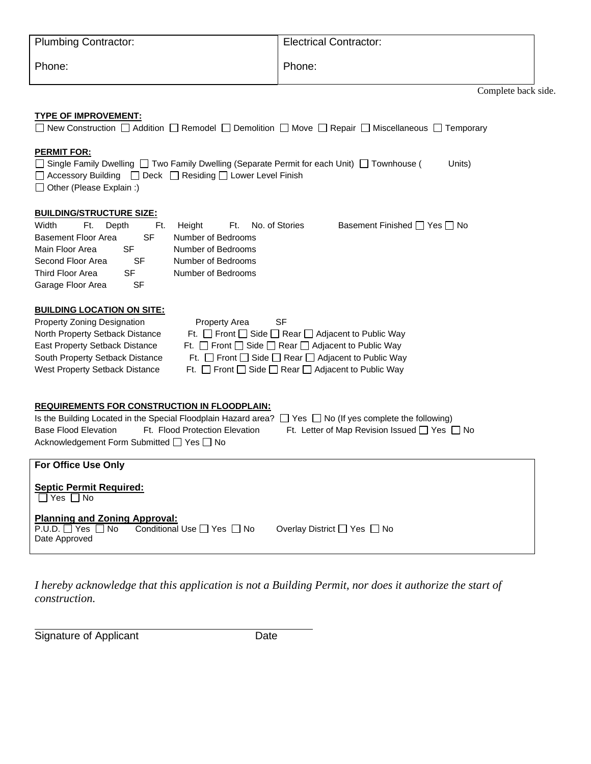| Plumbing Contractor: | <b>Electrical Contractor:</b> |
|----------------------|-------------------------------|
| Phone:               | Phone:                        |

| Complete back side. |  |  |
|---------------------|--|--|
|---------------------|--|--|

#### **TYPE OF IMPROVEMENT:**

| New Construction $\Box$ Addition $\Box$ Remodel $\Box$ Demolition $\Box$ Move $\Box$ Repair $\Box$ Miscellaneous $\Box$ Temporary                                                                             |        |
|---------------------------------------------------------------------------------------------------------------------------------------------------------------------------------------------------------------|--------|
| <b>PERMIT FOR:</b><br>□ Single Family Dwelling □ Two Family Dwelling (Separate Permit for each Unit) □ Townhouse (<br>△ Accessory Building △ Deck △ Residing △ Lower Level Finish<br>Other (Please Explain :) | Units) |
|                                                                                                                                                                                                               |        |

### **BUILDING/STRUCTURE SIZE:**

| Width               | Ft. | Depth | Ft. |                    | Height Ft. No. of Stories | Basement Finished $\Box$ Yes $\Box$ No |
|---------------------|-----|-------|-----|--------------------|---------------------------|----------------------------------------|
| Basement Floor Area |     |       | SF  | Number of Bedrooms |                           |                                        |
| Main Floor Area     |     | SF    |     | Number of Bedrooms |                           |                                        |
| Second Floor Area   |     |       | SF. | Number of Bedrooms |                           |                                        |
| Third Floor Area    |     | SF    |     | Number of Bedrooms |                           |                                        |
| Garage Floor Area   |     |       | SF  |                    |                           |                                        |

#### **BUILDING LOCATION ON SITE:**

| <b>Property Zoning Designation</b> | Property Area<br>-SF                                                   |
|------------------------------------|------------------------------------------------------------------------|
| North Property Setback Distance    | Ft. $\Box$ Front $\Box$ Side $\Box$ Rear $\Box$ Adjacent to Public Way |
| East Property Setback Distance     | Ft. $\Box$ Front $\Box$ Side $\Box$ Rear $\Box$ Adjacent to Public Way |
| South Property Setback Distance    | Ft. $\Box$ Front $\Box$ Side $\Box$ Rear $\Box$ Adjacent to Public Way |
| West Property Setback Distance     | Ft. $\Box$ Front $\Box$ Side $\Box$ Rear $\Box$ Adjacent to Public Way |

#### **REQUIREMENTS FOR CONSTRUCTION IN FLOODPLAIN:**

|                                           |                                | Is the Building Located in the Special Floodplain Hazard area? $\Box$ Yes $\Box$ No (If yes complete the following) |  |  |  |
|-------------------------------------------|--------------------------------|---------------------------------------------------------------------------------------------------------------------|--|--|--|
| Base Flood Elevation                      | Ft. Flood Protection Elevation | Ft. Letter of Map Revision Issued □ Yes □ No                                                                        |  |  |  |
| Acknowledgement Form Submitted □ Yes □ No |                                |                                                                                                                     |  |  |  |

| <b>For Office Use Only</b>                                                                     |                             |
|------------------------------------------------------------------------------------------------|-----------------------------|
| <b>Septic Permit Required:</b><br>$\Box$ Yes $\Box$ No                                         |                             |
| <b>Planning and Zoning Approval:</b><br>P.U.D. Yes No Conditional Use TYes No<br>Date Approved | Overlay District □ Yes □ No |

*I hereby acknowledge that this application is not a Building Permit, nor does it authorize the start of construction.*

Signature of Applicant Date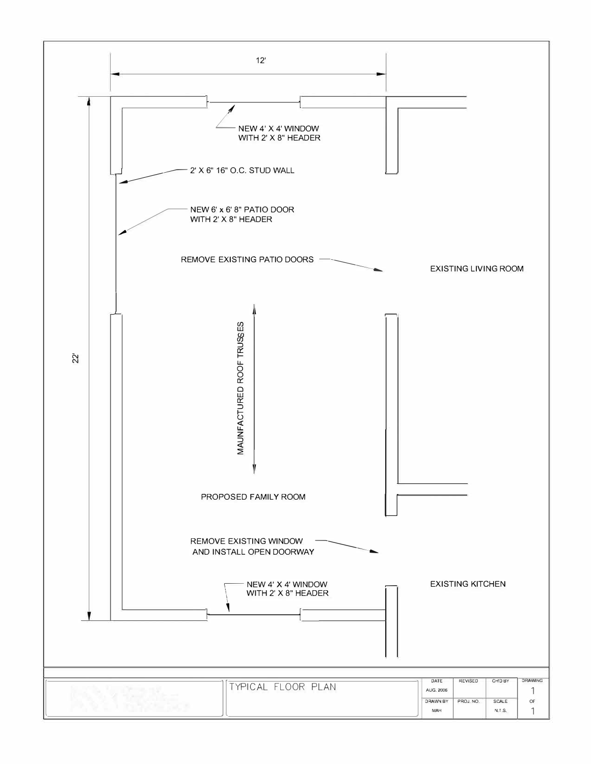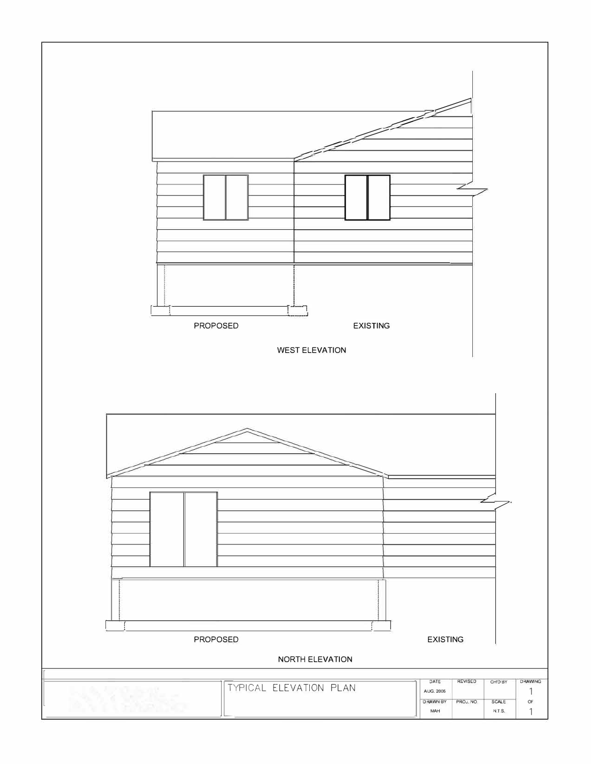![](_page_5_Figure_0.jpeg)